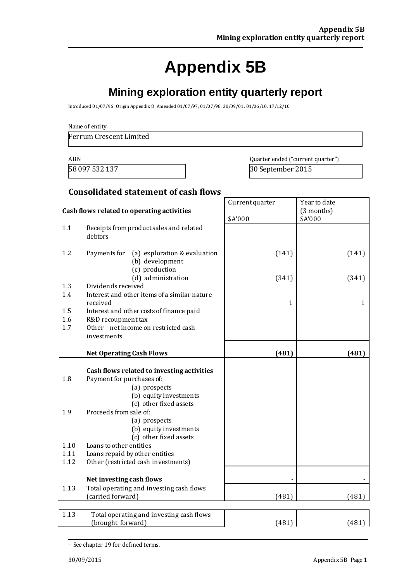# **Appendix 5B**

## **Mining exploration entity quarterly report**

Introduced 01/07/96 Origin Appendix 8 Amended 01/07/97, 01/07/98, 30/09/01, 01/06/10, 17/12/10

Name of entity

Ferrum Crescent Limited

ABN Quarter ended ("current quarter") 58 097 532 137 30 September 2015

Year to date

Current quarter

#### **Consolidated statement of cash flows**

| Cash flows related to operating activities |                                                                                                                                                                                                                                                                                                                                                 | \$A'000      | (3 months)<br>\$A'000 |
|--------------------------------------------|-------------------------------------------------------------------------------------------------------------------------------------------------------------------------------------------------------------------------------------------------------------------------------------------------------------------------------------------------|--------------|-----------------------|
| 1.1                                        | Receipts from product sales and related<br>debtors                                                                                                                                                                                                                                                                                              |              |                       |
| 1.2                                        | Payments for<br>(a) exploration & evaluation<br>(b) development<br>(c) production                                                                                                                                                                                                                                                               | (141)        | (141)                 |
|                                            | (d) administration<br>Dividends received                                                                                                                                                                                                                                                                                                        | (341)        | (341)                 |
| 1.3<br>1.4                                 | Interest and other items of a similar nature<br>received                                                                                                                                                                                                                                                                                        | $\mathbf{1}$ | 1                     |
| 1.5                                        | Interest and other costs of finance paid                                                                                                                                                                                                                                                                                                        |              |                       |
| 1.6<br>1.7                                 | R&D recoupment tax<br>Other - net income on restricted cash<br>investments                                                                                                                                                                                                                                                                      |              |                       |
|                                            | <b>Net Operating Cash Flows</b>                                                                                                                                                                                                                                                                                                                 | (481)        | (481)                 |
| 1.8<br>1.9<br>1.10<br>1.11<br>1.12         | Cash flows related to investing activities<br>Payment for purchases of:<br>(a) prospects<br>(b) equity investments<br>(c) other fixed assets<br>Proceeds from sale of:<br>(a) prospects<br>(b) equity investments<br>(c) other fixed assets<br>Loans to other entities<br>Loans repaid by other entities<br>Other (restricted cash investments) |              |                       |
|                                            | Net investing cash flows                                                                                                                                                                                                                                                                                                                        |              |                       |
| 1.13                                       | Total operating and investing cash flows<br>(carried forward)                                                                                                                                                                                                                                                                                   | (481)        | (481)                 |
| 1.13                                       | Total operating and investing cash flows<br>(brought forward)                                                                                                                                                                                                                                                                                   | (481)        | (481)                 |

<sup>+</sup> See chapter 19 for defined terms.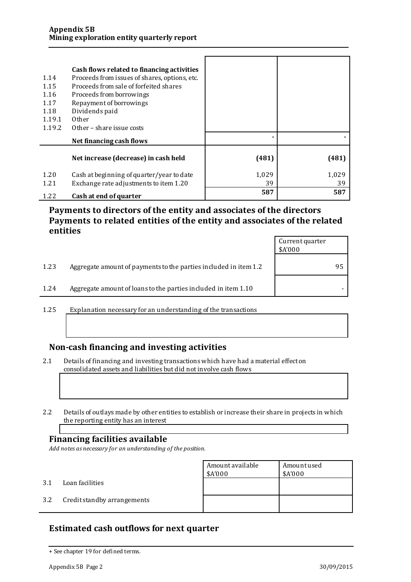| 1.14<br>1.15<br>1.16<br>1.17<br>1.18<br>1.19.1<br>1.19.2 | Cash flows related to financing activities<br>Proceeds from issues of shares, options, etc.<br>Proceeds from sale of forfeited shares<br>Proceeds from borrowings<br>Repayment of borrowings<br>Dividends paid<br>Other<br>Other – share issue costs |             |             |
|----------------------------------------------------------|------------------------------------------------------------------------------------------------------------------------------------------------------------------------------------------------------------------------------------------------------|-------------|-------------|
|                                                          | Net financing cash flows                                                                                                                                                                                                                             |             |             |
|                                                          | Net increase (decrease) in cash held                                                                                                                                                                                                                 | (481)       | (481)       |
| 1.20<br>1.21                                             | Cash at beginning of quarter/year to date<br>Exchange rate adjustments to item 1.20                                                                                                                                                                  | 1,029<br>39 | 1,029<br>39 |
| 1.22                                                     | Cash at end of quarter                                                                                                                                                                                                                               | 587         | 587         |

### **Payments to directors of the entity and associates of the directors Payments to related entities of the entity and associates of the related entities**

|      |                                                                  | Current quarter<br>\$A'000 |    |
|------|------------------------------------------------------------------|----------------------------|----|
| 1.23 | Aggregate amount of payments to the parties included in item 1.2 |                            | 95 |
| 1.24 | Aggregate amount of loans to the parties included in item 1.10   |                            |    |

1.25 Explanation necessary for an understanding of the transactions

### **Non-cash financing and investing activities**

2.1 Details of financing and investing transactions which have had a material effect on consolidated assets and liabilities but did not involve cash flows

2.2 Details of outlays made by other entities to establish or increase their share in projects in which the reporting entity has an interest

#### **Financing facilities available**

*Add notes as necessary for an understanding of the position.*

Amount available \$A'000 Amount used \$A'000 3.1 Loan facilities 3.2 Credit standby arrangements

### **Estimated cash outflows for next quarter**

<sup>+</sup> See chapter 19 for defined terms.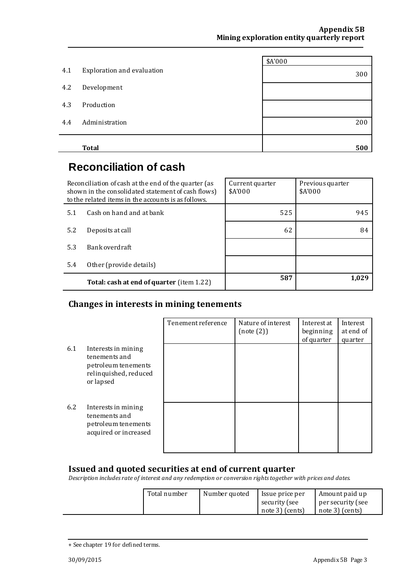|     |                            | \$A'000 |
|-----|----------------------------|---------|
| 4.1 | Exploration and evaluation | 300     |
| 4.2 | Development                |         |
| 4.3 | Production                 |         |
| 4.4 | Administration             | 200     |
|     | <b>Total</b>               | 500     |

# **Reconciliation of cash**

| Reconciliation of cash at the end of the quarter (as<br>shown in the consolidated statement of cash flows)<br>to the related items in the accounts is as follows. |                                           | Current quarter<br>\$A'000 | Previous quarter<br>\$A'000 |
|-------------------------------------------------------------------------------------------------------------------------------------------------------------------|-------------------------------------------|----------------------------|-----------------------------|
| 5.1                                                                                                                                                               | Cash on hand and at bank                  | 525                        | 945                         |
| 5.2                                                                                                                                                               | Deposits at call                          | 62                         | 84                          |
| 5.3                                                                                                                                                               | Bank overdraft                            |                            |                             |
| 5.4                                                                                                                                                               | Other (provide details)                   |                            |                             |
|                                                                                                                                                                   | Total: cash at end of quarter (item 1.22) | 587                        | 1.029                       |

### **Changes in interests in mining tenements**

|     |                                                                                                   | Tenement reference | Nature of interest<br>(note(2)) | Interest at<br>beginning<br>of quarter | Interest<br>at end of<br>quarter |
|-----|---------------------------------------------------------------------------------------------------|--------------------|---------------------------------|----------------------------------------|----------------------------------|
| 6.1 | Interests in mining<br>tenements and<br>petroleum tenements<br>relinquished, reduced<br>or lapsed |                    |                                 |                                        |                                  |
| 6.2 | Interests in mining<br>tenements and<br>petroleum tenements<br>acquired or increased              |                    |                                 |                                        |                                  |

### **Issued and quoted securities at end of current quarter**

*Description includes rate of interest and any redemption or conversion rights together with prices and dates.*

| Total number | Number quoted | Issue price per | Amount paid up    |
|--------------|---------------|-----------------|-------------------|
|              |               | security (see   | per security (see |
|              |               | note 3) (cents) | note 3) (cents)   |

<sup>+</sup> See chapter 19 for defined terms.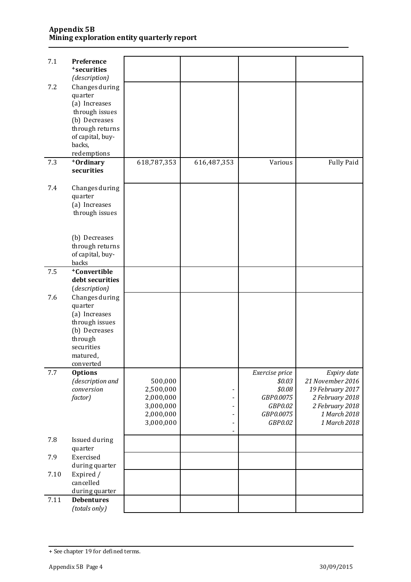#### **Appendix 5B Mining exploration entity quarterly report**

| 7.1  | Preference<br><sup>+</sup> securities |             |             |                            |                                 |
|------|---------------------------------------|-------------|-------------|----------------------------|---------------------------------|
|      | (description)                         |             |             |                            |                                 |
| 7.2  | Changes during                        |             |             |                            |                                 |
|      | quarter                               |             |             |                            |                                 |
|      | (a) Increases                         |             |             |                            |                                 |
|      | through issues                        |             |             |                            |                                 |
|      | (b) Decreases<br>through returns      |             |             |                            |                                 |
|      | of capital, buy-                      |             |             |                            |                                 |
|      | backs,                                |             |             |                            |                                 |
|      | redemptions                           |             |             |                            |                                 |
| 7.3  | +Ordinary                             | 618,787,353 | 616,487,353 | Various                    | <b>Fully Paid</b>               |
|      | securities                            |             |             |                            |                                 |
| 7.4  | Changes during                        |             |             |                            |                                 |
|      | quarter                               |             |             |                            |                                 |
|      | (a) Increases                         |             |             |                            |                                 |
|      | through issues                        |             |             |                            |                                 |
|      |                                       |             |             |                            |                                 |
|      | (b) Decreases                         |             |             |                            |                                 |
|      | through returns                       |             |             |                            |                                 |
|      | of capital, buy-                      |             |             |                            |                                 |
| 7.5  | backs<br><sup>+</sup> Convertible     |             |             |                            |                                 |
|      | debt securities                       |             |             |                            |                                 |
|      | (description)                         |             |             |                            |                                 |
| 7.6  | Changes during                        |             |             |                            |                                 |
|      | quarter                               |             |             |                            |                                 |
|      | (a) Increases                         |             |             |                            |                                 |
|      | through issues<br>(b) Decreases       |             |             |                            |                                 |
|      | through                               |             |             |                            |                                 |
|      | securities                            |             |             |                            |                                 |
|      | matured,                              |             |             |                            |                                 |
|      | converted                             |             |             |                            |                                 |
| 7.7  | <b>Options</b>                        | 500,000     |             | Exercise price<br>\$0.03\$ | Expiry date<br>21 November 2016 |
|      | (description and<br>conversion        | 2,500,000   |             | \$0.08                     | 19 February 2017                |
|      | factor)                               | 2,000,000   |             | GBP0.0075                  | 2 February 2018                 |
|      |                                       | 3,000,000   |             | GBP0.02                    | 2 February 2018                 |
|      |                                       | 2,000,000   |             | GBP0.0075                  | 1 March 2018                    |
|      |                                       | 3,000,000   |             | GBP0.02                    | 1 March 2018                    |
| 7.8  | Issued during                         |             |             |                            |                                 |
|      | quarter                               |             |             |                            |                                 |
| 7.9  | Exercised                             |             |             |                            |                                 |
|      | during quarter                        |             |             |                            |                                 |
| 7.10 | Expired /                             |             |             |                            |                                 |
|      | cancelled<br>during quarter           |             |             |                            |                                 |
| 7.11 | <b>Debentures</b>                     |             |             |                            |                                 |
|      | (totals only)                         |             |             |                            |                                 |

<sup>+</sup> See chapter 19 for defined terms.